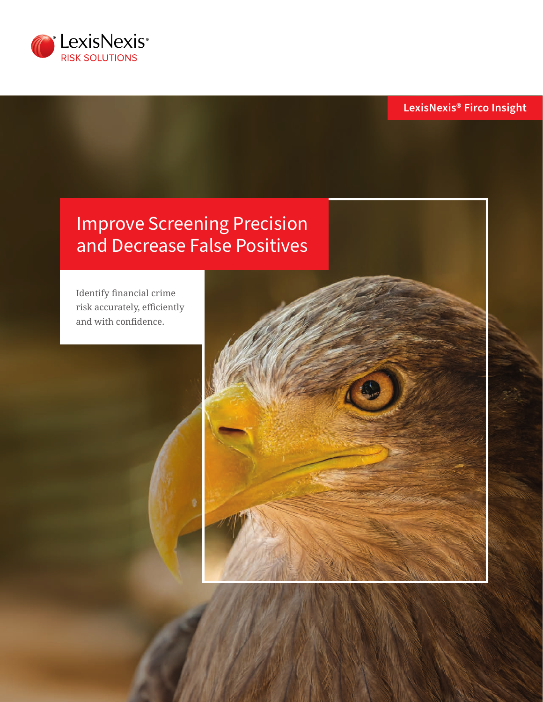

**LexisNexis® Firco Insight**

# Improve Screening Precision and Decrease False Positives

Identify financial crime risk accurately, efficiently and with confidence.

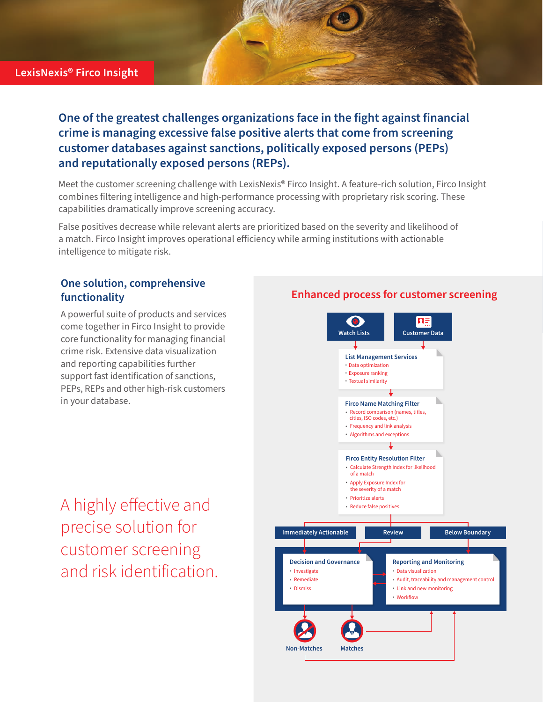## **LexisNexis® Firco Insight**

**One of the greatest challenges organizations face in the fight against financial crime is managing excessive false positive alerts that come from screening customer databases against sanctions, politically exposed persons (PEPs) and reputationally exposed persons (REPs).**

Meet the customer screening challenge with LexisNexis® Firco Insight. A feature-rich solution, Firco Insight combines filtering intelligence and high-performance processing with proprietary risk scoring. These capabilities dramatically improve screening accuracy.

False positives decrease while relevant alerts are prioritized based on the severity and likelihood of a match. Firco Insight improves operational efficiency while arming institutions with actionable intelligence to mitigate risk.

## **One solution, comprehensive functionality**

A powerful suite of products and services come together in Firco Insight to provide core functionality for managing financial crime risk. Extensive data visualization and reporting capabilities further support fast identification of sanctions, PEPs, REPs and other high-risk customers in your database.

A highly effective and precise solution for customer screening and risk identification.

## **Enhanced process for customer screening**

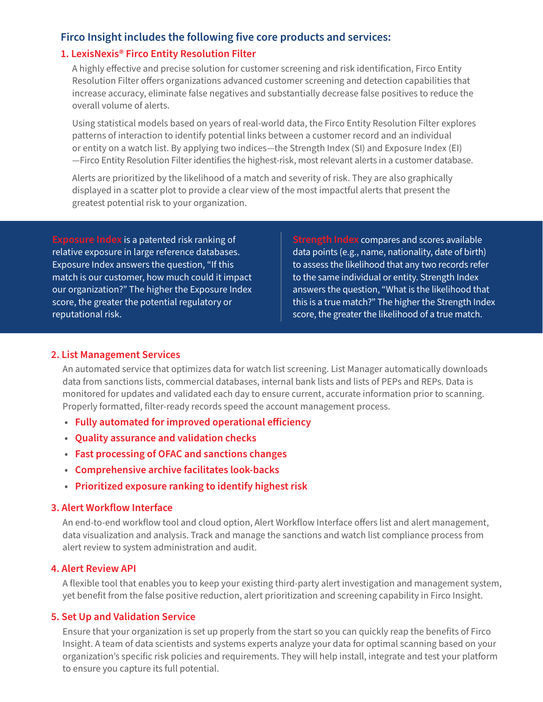## **Firco Insight includes the following five core products and services:**

## **1. LexisNexis® Firco Entity Resolution Filter**

A highly effective and precise solution for customer screening and risk identification, Firco Entity Resolution Filter offers organizations advanced customer screening and detection capabilities that increase accuracy, eliminate false negatives and substantially decrease false positives to reduce the overall volume of alerts.

Using statistical models based on years of real-world data, the Firco Entity Resolution Filter explores patterns of interaction to identify potential links between a customer record and an individual or entity on a watch list. By applying two indices—the Strength Index (SI) and Exposure Index (EI) —Firco Entity Resolution Filter identifies the highest-risk, most relevant alerts in a customer database.

Alerts are prioritized by the likelihood of a match and severity of risk. They are also graphically displayed in a scatter plot to provide a clear view of the most impactful alerts that present the greatest potential risk to your organization.

**Exposure Index** is a patented risk ranking of relative exposure in large reference databases. Exposure Index answers the question, "If this match is our customer, how much could it impact our organization?" The higher the Exposure Index score, the greater the potential regulatory or reputational risk.

**Strength Index** compares and scores available data points (e.g., name, nationality, date of birth) to assess the likelihood that any two records refer to the same individual or entity. Strength Index answers the question, "What is the likelihood that this is a true match?" The higher the Strength Index score, the greater the likelihood of a true match.

#### **2. List Management Services**

An automated service that optimizes data for watch list screening. List Manager automatically downloads data from sanctions lists, commercial databases, internal bank lists and lists of PEPs and REPs. Data is monitored for updates and validated each day to ensure current, accurate information prior to scanning. Properly formatted, filter-ready records speed the account management process.

- **• Fully automated for improved operational efficiency**
- **• Quality assurance and validation checks**
- **• Fast processing of OFAC and sanctions changes**
- **• Comprehensive archive facilitates look-backs**
- **• Prioritized exposure ranking to identify highest risk**

#### **3. Alert Workflow Interface**

An end-to-end workflow tool and cloud option, Alert Workflow Interface offers list and alert management, data visualization and analysis. Track and manage the sanctions and watch list compliance process from alert review to system administration and audit.

#### **4. Alert Review API**

A flexible tool that enables you to keep your existing third-party alert investigation and management system, yet benefit from the false positive reduction, alert prioritization and screening capability in Firco Insight.

## **5. Set Up and Validation Service**

Ensure that your organization is set up properly from the start so you can quickly reap the benefits of Firco Insight. A team of data scientists and systems experts analyze your data for optimal scanning based on your organization's specific risk policies and requirements. They will help install, integrate and test your platform to ensure you capture its full potential.